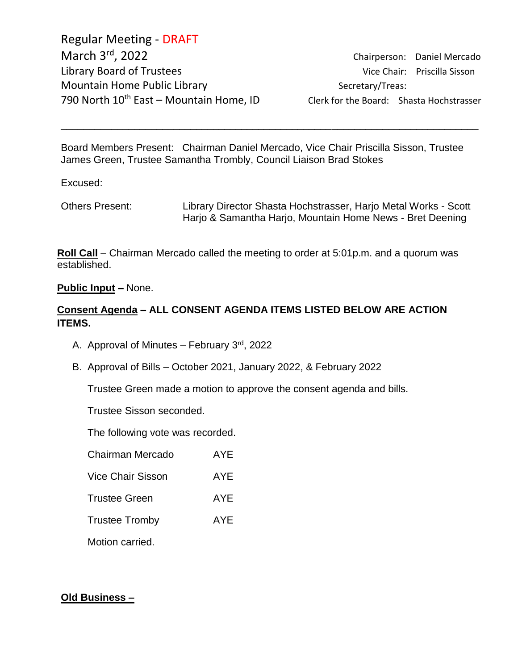Regular Meeting - DRAFT March 3<sup>rd</sup> Library Board of Trustees and the Vice Chair: Priscilla Sisson Mountain Home Public Library Network Secretary/Treas: 790 North  $10^{th}$  East – Mountain Home, ID Clerk for the Board: Shasta Hochstrasser

Chairperson: Daniel Mercado

Board Members Present: Chairman Daniel Mercado, Vice Chair Priscilla Sisson, Trustee James Green, Trustee Samantha Trombly, Council Liaison Brad Stokes

\_\_\_\_\_\_\_\_\_\_\_\_\_\_\_\_\_\_\_\_\_\_\_\_\_\_\_\_\_\_\_\_\_\_\_\_\_\_\_\_\_\_\_\_\_\_\_\_\_\_\_\_\_\_\_\_\_\_\_\_\_\_\_\_\_\_\_\_\_\_\_\_\_\_

Excused:

Others Present: Library Director Shasta Hochstrasser, Harjo Metal Works - Scott Harjo & Samantha Harjo, Mountain Home News - Bret Deening

**Roll Call** – Chairman Mercado called the meeting to order at 5:01p.m. and a quorum was established.

#### **Public Input –** None.

#### **Consent Agenda – ALL CONSENT AGENDA ITEMS LISTED BELOW ARE ACTION ITEMS.**

- A. Approval of Minutes February  $3<sup>rd</sup>$ , 2022
- B. Approval of Bills October 2021, January 2022, & February 2022

Trustee Green made a motion to approve the consent agenda and bills.

Trustee Sisson seconded.

The following vote was recorded.

| Chairman Mercado         | AYE |
|--------------------------|-----|
| <b>Vice Chair Sisson</b> | AYE |
| <b>Trustee Green</b>     | AYE |
| <b>Trustee Tromby</b>    | AYE |
| Motion carried.          |     |

#### **Old Business –**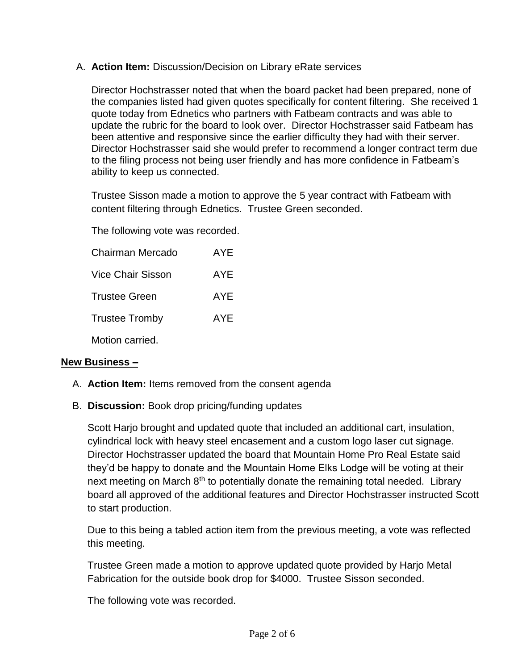# A. **Action Item:** Discussion/Decision on Library eRate services

Director Hochstrasser noted that when the board packet had been prepared, none of the companies listed had given quotes specifically for content filtering. She received 1 quote today from Ednetics who partners with Fatbeam contracts and was able to update the rubric for the board to look over. Director Hochstrasser said Fatbeam has been attentive and responsive since the earlier difficulty they had with their server. Director Hochstrasser said she would prefer to recommend a longer contract term due to the filing process not being user friendly and has more confidence in Fatbeam's ability to keep us connected.

Trustee Sisson made a motion to approve the 5 year contract with Fatbeam with content filtering through Ednetics. Trustee Green seconded.

The following vote was recorded.

| Chairman Mercado         | AYF |
|--------------------------|-----|
| <b>Vice Chair Sisson</b> | AYE |
| <b>Trustee Green</b>     | AYE |
| <b>Trustee Tromby</b>    | AYE |
| Motion carried.          |     |

# **New Business –**

- A. **Action Item:** Items removed from the consent agenda
- B. **Discussion:** Book drop pricing/funding updates

Scott Harjo brought and updated quote that included an additional cart, insulation, cylindrical lock with heavy steel encasement and a custom logo laser cut signage. Director Hochstrasser updated the board that Mountain Home Pro Real Estate said they'd be happy to donate and the Mountain Home Elks Lodge will be voting at their next meeting on March  $8<sup>th</sup>$  to potentially donate the remaining total needed. Library board all approved of the additional features and Director Hochstrasser instructed Scott to start production.

Due to this being a tabled action item from the previous meeting, a vote was reflected this meeting.

Trustee Green made a motion to approve updated quote provided by Harjo Metal Fabrication for the outside book drop for \$4000. Trustee Sisson seconded.

The following vote was recorded.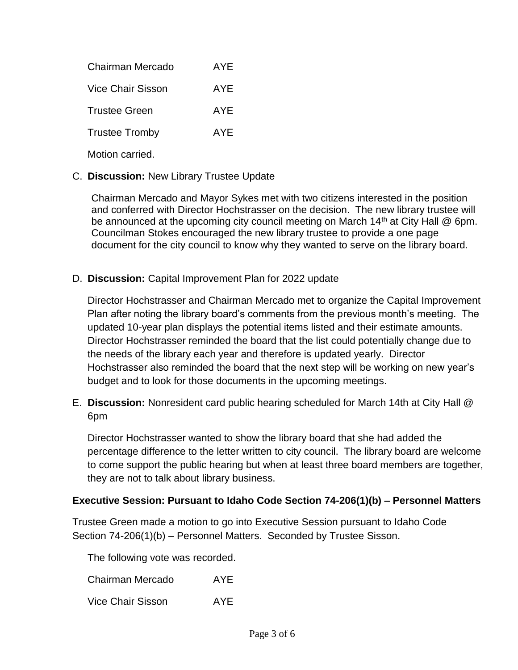| Chairman Mercado      | AYF |
|-----------------------|-----|
| Vice Chair Sisson     | AYF |
| Trustee Green         | AYF |
| <b>Trustee Tromby</b> | AYF |
|                       |     |

Motion carried.

# C. **Discussion:** New Library Trustee Update

Chairman Mercado and Mayor Sykes met with two citizens interested in the position and conferred with Director Hochstrasser on the decision. The new library trustee will be announced at the upcoming city council meeting on March 14<sup>th</sup> at City Hall @ 6pm. Councilman Stokes encouraged the new library trustee to provide a one page document for the city council to know why they wanted to serve on the library board.

### D. **Discussion:** Capital Improvement Plan for 2022 update

Director Hochstrasser and Chairman Mercado met to organize the Capital Improvement Plan after noting the library board's comments from the previous month's meeting. The updated 10-year plan displays the potential items listed and their estimate amounts. Director Hochstrasser reminded the board that the list could potentially change due to the needs of the library each year and therefore is updated yearly. Director Hochstrasser also reminded the board that the next step will be working on new year's budget and to look for those documents in the upcoming meetings.

E. **Discussion:** Nonresident card public hearing scheduled for March 14th at City Hall @ 6pm

Director Hochstrasser wanted to show the library board that she had added the percentage difference to the letter written to city council. The library board are welcome to come support the public hearing but when at least three board members are together, they are not to talk about library business.

#### **Executive Session: Pursuant to Idaho Code Section 74-206(1)(b) – Personnel Matters**

Trustee Green made a motion to go into Executive Session pursuant to Idaho Code Section 74-206(1)(b) – Personnel Matters. Seconded by Trustee Sisson.

The following vote was recorded.

| Chairman Mercado | <b>AYE</b> |
|------------------|------------|
|------------------|------------|

Vice Chair Sisson AYE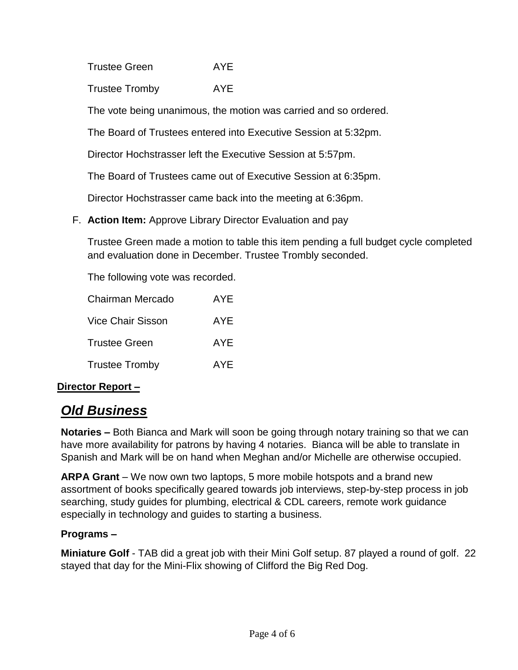Trustee Green AYE

Trustee Tromby AYE

The vote being unanimous, the motion was carried and so ordered.

The Board of Trustees entered into Executive Session at 5:32pm.

Director Hochstrasser left the Executive Session at 5:57pm.

The Board of Trustees came out of Executive Session at 6:35pm.

Director Hochstrasser came back into the meeting at 6:36pm.

F. **Action Item:** Approve Library Director Evaluation and pay

Trustee Green made a motion to table this item pending a full budget cycle completed and evaluation done in December. Trustee Trombly seconded.

The following vote was recorded.

| Chairman Mercado      | AYE        |
|-----------------------|------------|
| Vice Chair Sisson     | AYE        |
| Trustee Green         | <b>AYE</b> |
| <b>Trustee Tromby</b> | AYE        |

# **Director Report –**

# *Old Business*

**Notaries –** Both Bianca and Mark will soon be going through notary training so that we can have more availability for patrons by having 4 notaries. Bianca will be able to translate in Spanish and Mark will be on hand when Meghan and/or Michelle are otherwise occupied.

**ARPA Grant** – We now own two laptops, 5 more mobile hotspots and a brand new assortment of books specifically geared towards job interviews, step-by-step process in job searching, study guides for plumbing, electrical & CDL careers, remote work guidance especially in technology and guides to starting a business.

# **Programs –**

**Miniature Golf** - TAB did a great job with their Mini Golf setup. 87 played a round of golf. 22 stayed that day for the Mini-Flix showing of Clifford the Big Red Dog.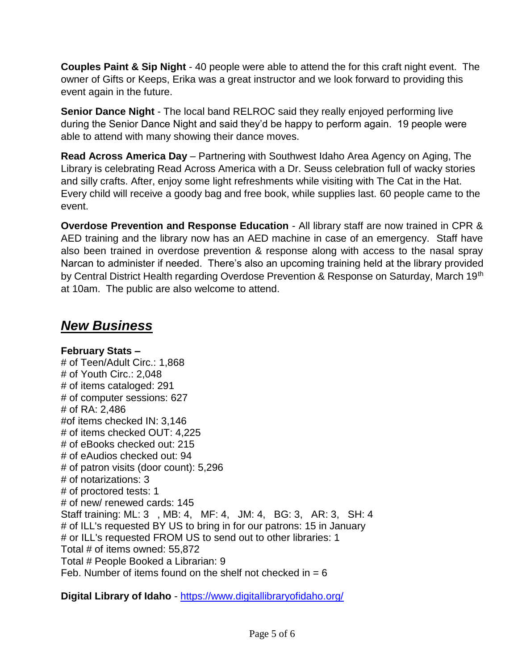**Couples Paint & Sip Night** - 40 people were able to attend the for this craft night event. The owner of Gifts or Keeps, Erika was a great instructor and we look forward to providing this event again in the future.

**Senior Dance Night** - The local band RELROC said they really enjoyed performing live during the Senior Dance Night and said they'd be happy to perform again. 19 people were able to attend with many showing their dance moves.

**Read Across America Day** – Partnering with Southwest Idaho Area Agency on Aging, The Library is celebrating Read Across America with a Dr. Seuss celebration full of wacky stories and silly crafts. After, enjoy some light refreshments while visiting with The Cat in the Hat. Every child will receive a goody bag and free book, while supplies last. 60 people came to the event.

**Overdose Prevention and Response Education** - All library staff are now trained in CPR & AED training and the library now has an AED machine in case of an emergency. Staff have also been trained in overdose prevention & response along with access to the nasal spray Narcan to administer if needed. There's also an upcoming training held at the library provided by Central District Health regarding Overdose Prevention & Response on Saturday, March 19th at 10am. The public are also welcome to attend.

# *New Business*

**February Stats –** # of Teen/Adult Circ.: 1,868 # of Youth Circ.: 2,048 # of items cataloged: 291 # of computer sessions: 627 # of RA: 2,486 #of items checked IN: 3,146 # of items checked OUT: 4,225 # of eBooks checked out: 215 # of eAudios checked out: 94 # of patron visits (door count): 5,296 # of notarizations: 3 # of proctored tests: 1 # of new/ renewed cards: 145 Staff training: ML: 3 , MB: 4, MF: 4, JM: 4, BG: 3, AR: 3, SH: 4 # of ILL's requested BY US to bring in for our patrons: 15 in January # or ILL's requested FROM US to send out to other libraries: 1 Total # of items owned: 55,872 Total # People Booked a Librarian: 9 Feb. Number of items found on the shelf not checked in  $= 6$ 

**Digital Library of Idaho** - <https://www.digitallibraryofidaho.org/>